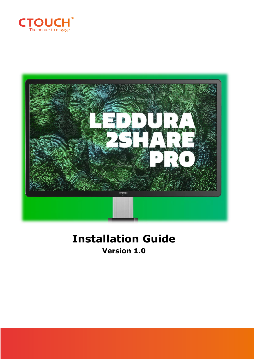



## **Installation Guide Version 1.0**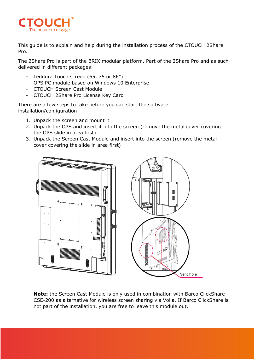

This guide is to explain and help during the installation process of the CTOUCH 2Share Pro.

The 2Share Pro is part of the BRIX modular platform. Part of the 2Share Pro and as such delivered in different packages:

- Leddura Touch screen (65, 75 or 86")
- OPS PC module based on Windows 10 Enterprise
- CTOUCH Screen Cast Module
- CTOUCH 2Share Pro License Key Card

There are a few steps to take before you can start the software installation/configuration:

- 1. Unpack the screen and mount it
- 2. Unpack the OPS and insert it into the screen (remove the metal cover covering the OPS slide in area first)
- 3. Unpack the Screen Cast Module and insert into the screen (remove the metal cover covering the slide in area first)



**Note:** the Screen Cast Module is only used in combination with Barco ClickShare CSE-200 as alternative for wireless screen sharing via Voila. If Barco ClickShare is not part of the installation, you are free to leave this module out.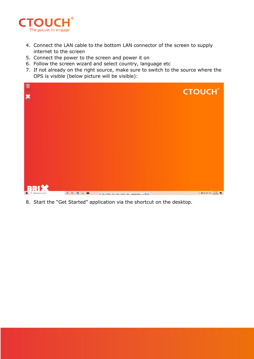

- 4. Connect the LAN cable to the bottom LAN connector of the screen to supply internet to the screen
- 5. Connect the power to the screen and power it on
- 6. Follow the screen wizard and select country, language etc
- 7. If not already on the right source, make sure to switch to the source where the OPS is visible (below picture will be visible):



8. Start the "Get Started" application via the shortcut on the desktop.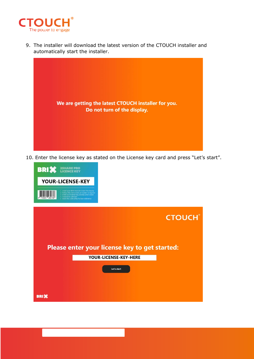

9. The installer will download the latest version of the CTOUCH installer and automatically start the installer.



10. Enter the license key as stated on the License key card and press "Let's start".



|                                               | <b>CTOUCH®</b> |  |  |  |  |  |
|-----------------------------------------------|----------------|--|--|--|--|--|
| Please enter your license key to get started: |                |  |  |  |  |  |
| YOUR-LICENSE-KEY-HERE                         |                |  |  |  |  |  |
| Let's start                                   |                |  |  |  |  |  |
|                                               |                |  |  |  |  |  |
| <b>BRIX</b>                                   |                |  |  |  |  |  |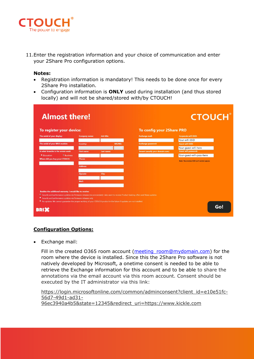

11.Enter the registration information and your choice of communication and enter your 2Share Pro configuration options.

## **Notes:**

- Registration information is mandatory! This needs to be done once for every 2Share Pro installation.
- Configuration information is **ONLY** used during installation (and thus stored locally) and will not be shared/stored with/by CTOUCH!

| <b>Almost there!</b>                                                                                                                                                                                                                                                                                                                                                                                        |                      | <b>CTOUCH®</b>    |                                         |                                               |     |
|-------------------------------------------------------------------------------------------------------------------------------------------------------------------------------------------------------------------------------------------------------------------------------------------------------------------------------------------------------------------------------------------------------------|----------------------|-------------------|-----------------------------------------|-----------------------------------------------|-----|
| To register your device:                                                                                                                                                                                                                                                                                                                                                                                    |                      |                   | <b>To config your 2Share PRO</b>        |                                               |     |
| The serial of your display:                                                                                                                                                                                                                                                                                                                                                                                 | <b>Company name:</b> | <b>Job title:</b> | <b>Exchange mail:</b>                   | <b>Corporate wifi SSID:</b>                   |     |
|                                                                                                                                                                                                                                                                                                                                                                                                             |                      |                   |                                         | Your-wifi-SSID                                |     |
| The serial of your BRIX module:                                                                                                                                                                                                                                                                                                                                                                             | <b>Country:</b>      | <b>MR/MS:</b>     | <b>Exchange password:</b>               | <b>Guest wifi SSID:</b>                       |     |
|                                                                                                                                                                                                                                                                                                                                                                                                             |                      |                   |                                         | Your-guest-wifi-here                          |     |
| In what branche is the screen used:                                                                                                                                                                                                                                                                                                                                                                         | <b>First name:</b>   | Last name:        | <b>Tenant (usually your domain.com)</b> | <b>Guest wifi password:</b>                   |     |
| <b>•</b> Education<br><sup>o</sup> Business                                                                                                                                                                                                                                                                                                                                                                 |                      |                   |                                         | Your-guest-wifi-pass-here                     |     |
| Where did you buy your CTOUCH:                                                                                                                                                                                                                                                                                                                                                                              | <b>Phone:</b>        |                   |                                         | Note: The wireless SSID can't contain spaces. |     |
| <b>Address:</b>                                                                                                                                                                                                                                                                                                                                                                                             |                      |                   |                                         |                                               |     |
|                                                                                                                                                                                                                                                                                                                                                                                                             |                      |                   |                                         |                                               |     |
|                                                                                                                                                                                                                                                                                                                                                                                                             | Zipcode:             | City:             |                                         |                                               |     |
|                                                                                                                                                                                                                                                                                                                                                                                                             |                      |                   |                                         |                                               |     |
|                                                                                                                                                                                                                                                                                                                                                                                                             | <b>Mail:</b>         |                   |                                         |                                               |     |
|                                                                                                                                                                                                                                                                                                                                                                                                             |                      |                   |                                         |                                               |     |
| Besides the additional warranty, I would like to receive:<br><sup>o</sup> Security and performance updates via Firmware releases (recommended). I also want to receive Product training offers and News updates<br>• Security and performance updates via Firmware releases only<br>. No updates. We cannot quarantee the proper working of your CTOUCH product in the future if updates are not installed. |                      |                   |                                         |                                               |     |
| <b>BRI3</b>                                                                                                                                                                                                                                                                                                                                                                                                 |                      |                   |                                         |                                               | Go! |

## **Configuration Options:**

• Exchange mail:

Fill in the created O365 room account (meeting room@mydomain.com) for the room where the device is installed. Since this the 2Share Pro software is not natively developed by Microsoft, a onetime consent is needed to be able to retrieve the Exchange information for this account and to be able to share the annotations via the email account via this room account. Consent should be executed by the IT administrator via this link:

[https://login.microsoftonline.com/common/adminconsent?client\\_id=e10e51fc-](https://login.microsoftonline.com/common/adminconsent?client_id=e10e51fc-56d7-49d1-ad31-96ec3940a4b5&state=12345&redirect_uri=https://www.kickle.com)[56d7-49d1-ad31-](https://login.microsoftonline.com/common/adminconsent?client_id=e10e51fc-56d7-49d1-ad31-96ec3940a4b5&state=12345&redirect_uri=https://www.kickle.com) [96ec3940a4b5&state=12345&redirect\\_uri=https://www.kickle.com](https://login.microsoftonline.com/common/adminconsent?client_id=e10e51fc-56d7-49d1-ad31-96ec3940a4b5&state=12345&redirect_uri=https://www.kickle.com)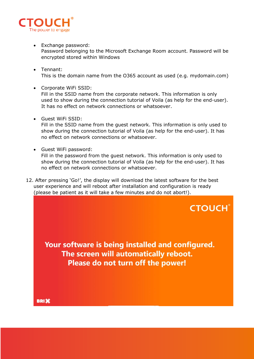

- Exchange password: Password belonging to the Microsoft Exchange Room account. Password will be encrypted stored within Windows
- Tennant: This is the domain name from the O365 account as used (e.g. mydomain.com)
- Corporate WiFi SSID: Fill in the SSID name from the corporate network. This information is only used to show during the connection tutorial of Voila (as help for the end-user). It has no effect on network connections or whatsoever.
- Guest WiFi SSID:

Fill in the SSID name from the guest network. This information is only used to show during the connection tutorial of Voila (as help for the end-user). It has no effect on network connections or whatsoever.

• Guest WiFi password:

Fill in the password from the guest network. This information is only used to show during the connection tutorial of Voila (as help for the end-user). It has no effect on network connections or whatsoever.

12. After pressing 'Go!', the display will download the latest software for the best user experience and will reboot after installation and configuration is ready (please be patient as it will take a few minutes and do not abort!).

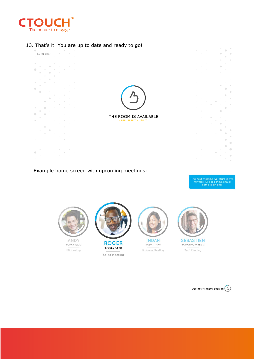

13. That's it. You are up to date and ready to go!



Example home screen with upcoming meetings:

The next meeting will start in five<br>minutes. All good things must<br>come to an end.

 $\blacksquare$ 

 $\bullet$ 

 $\begin{array}{c} \bullet \\ \bullet \end{array}$